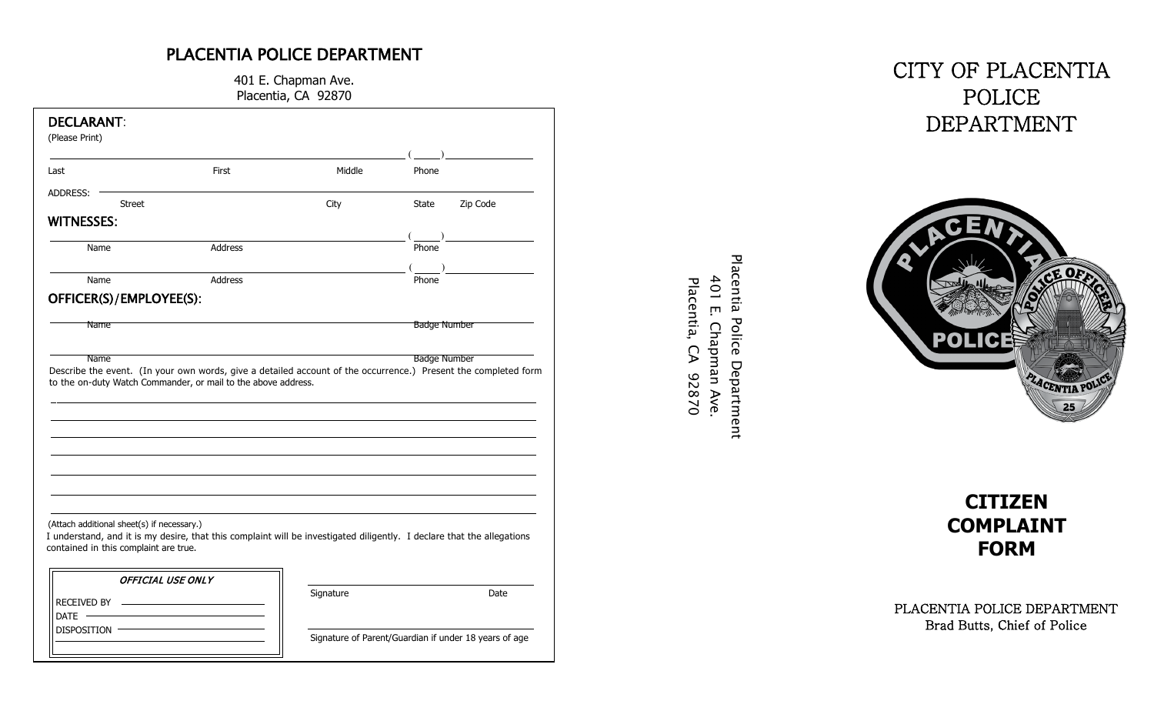## PLACENTIA POLICE DEPARTMENT

401 E. Chapman Ave. Placentia, CA 92870

| First<br>Last                                                                                                                                                   | Middle | Phone                                 |
|-----------------------------------------------------------------------------------------------------------------------------------------------------------------|--------|---------------------------------------|
| ADDRESS:                                                                                                                                                        |        |                                       |
| <b>Street</b>                                                                                                                                                   | City   | Zip Code<br>State                     |
| <b>WITNESSES:</b>                                                                                                                                               |        |                                       |
| Address<br>Name                                                                                                                                                 |        | $(\underline{\hspace{1cm}})$<br>Phone |
| Address<br>Name                                                                                                                                                 |        | Phone                                 |
|                                                                                                                                                                 |        |                                       |
| OFFICER(S)/EMPLOYEE(S):                                                                                                                                         |        |                                       |
| <b>Name</b>                                                                                                                                                     |        | <b>Badge Number</b>                   |
|                                                                                                                                                                 |        |                                       |
| Name                                                                                                                                                            |        | <b>Badge Number</b>                   |
|                                                                                                                                                                 |        |                                       |
|                                                                                                                                                                 |        |                                       |
|                                                                                                                                                                 |        |                                       |
|                                                                                                                                                                 |        |                                       |
| (Attach additional sheet(s) if necessary.)                                                                                                                      |        |                                       |
| I understand, and it is my desire, that this complaint will be investigated diligently. I declare that the allegations<br>contained in this complaint are true. |        |                                       |
| <b>OFFICIAL USE ONLY</b>                                                                                                                                        |        |                                       |
|                                                                                                                                                                 |        |                                       |

# CITY OF PLACENTIA POLICE DEPARTMENT



Placentia Police Department

Placentia Police Department 401 E. Chapman Ave. Placentia, CA 92870 401 E. Chapman Ave.Placentia, CA 92870



PLACENTIA POLICE DEPARTMENT Brad Butt s , Chief of Police